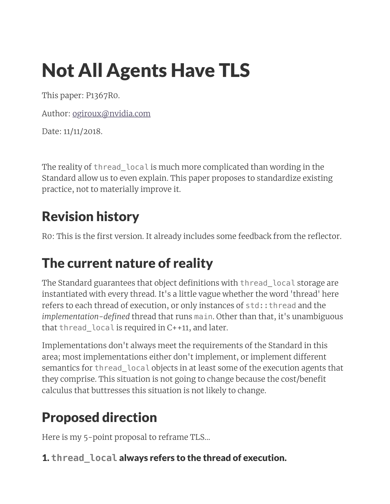# Not All Agents Have TLS

This paper: P1367R0.

Author: [ogiroux@nvidia.com](mailto:ogiroux@nvidia.com)

Date: 11/11/2018.

The reality of thread\_local is much more complicated than wording in the Standard allow us to even explain. This paper proposes to standardize existing practice, not to materially improve it.

### Revision history

R0: This is the first version. It already includes some feedback from the reflector.

### The current nature of reality

The Standard guarantees that object definitions with thread\_local storage are instantiated with every thread. It's a little vague whether the word 'thread' here refers to each thread of execution, or only instances of std::thread and the *implementation-defined* thread that runs main. Other than that, it's unambiguous that thread\_local is required in C++11, and later.

Implementations don't always meet the requirements of the Standard in this area; most implementations either don't implement, or implement different semantics for thread local objects in at least some of the execution agents that they comprise. This situation is not going to change because the cost/benefit calculus that buttresses this situation is not likely to change.

## Proposed direction

Here is my 5-point proposal to reframe TLS...

### 1. **thread\_local** always refers to the thread of execution.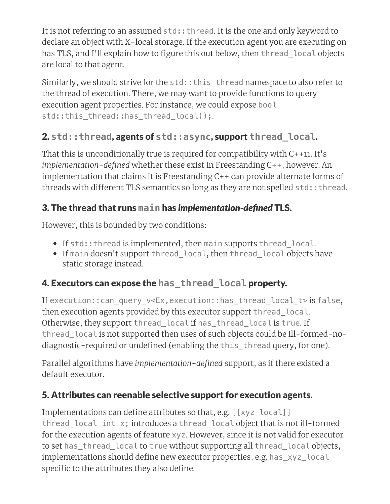It is not referring to an assumed std:: thread. It is the one and only keyword to declare an object with X-local storage. If the execution agent you are executing on has TLS, and I'll explain how to figure this out below, then thread local objects are local to that agent.

Similarly, we should strive for the std::this\_thread namespace to also refer to the thread of execution. There, we may want to provide functions to query execution agent properties. For instance, we could expose bool std::this\_thread::has\_thread\_local();

#### 2. **std::thread**, agents of **std::async**, support **thread\_local**.

That this is unconditionally true is required for compatibility with C++11. It's *implementation-defined* whether these exist in Freestanding C++, however. An implementation that claims it is Freestanding C++ can provide alternate forms of threads with different TLS semantics so long as they are not spelled std:: thread.

#### 3. The thread that runs **main** has *implementation-defined* TLS.

However, this is bounded by two conditions:

- If std:: thread is implemented, then main supports thread local.
- If main doesn't support thread local, then thread local objects have static storage instead.

#### 4. Executors can expose the **has\_thread\_local** property.

If execution::can\_query\_v<Ex,execution::has\_thread\_local\_t> is false, then execution agents provided by this executor support thread local. Otherwise, they support thread\_local if has\_thread\_local is true. If thread\_local is not supported then uses of such objects could be ill-formed-nodiagnostic-required or undefined (enabling the this thread query, for one).

Parallel algorithms have *implementation-defined* support, as if there existed a default executor.

#### 5. Attributes can reenable selective support for execution agents.

Implementations can define attributes so that, e.g. [[xyz\_local]] thread\_local int x; introduces a thread\_local object that is not ill-formed for the execution agents of feature xyz. However, since it is not valid for executor to set has\_thread\_local to true without supporting all thread\_local objects, implementations should define new executor properties, e.g. has\_xyz\_local specific to the attributes they also define.